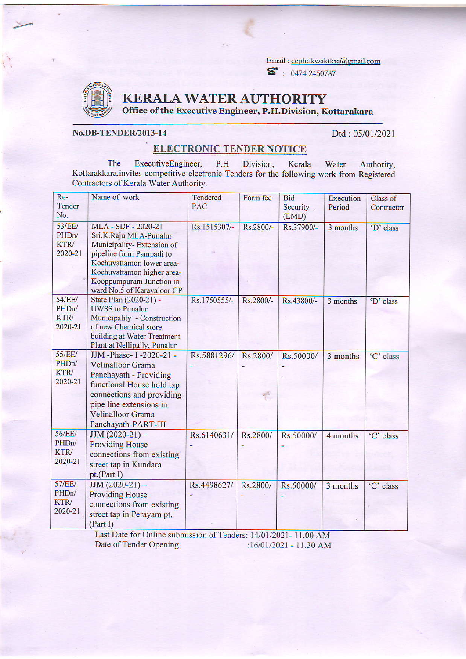Email : eephdkwaktkra@gmail.com  $\bullet$  : 0474 2450787



 $\geq$ 

KERALAWATERAUTHORITY

Office of the Executive Engineer, P.H.Division, Kottarakara

## No.DB-TENDER/2013-14

Dtd: 05/01/2021

## ELECTRONIC TENDER NOTICE

The ExecutiveEngineer, P.H Division, Kerala Kottarakkara.invites competitive electronic Tenders for the following work from Registered Contractors of Kerala Water Authority. Water Authority,

| Re-<br>Tender<br>No.                                          | Name of work                                                                                                                                                                                                                | Tendered<br>PAC | Form fee  | <b>Bid</b><br>Security<br>(EMD) | <b>Execution</b><br>Period | Class of<br>Contractor |
|---------------------------------------------------------------|-----------------------------------------------------------------------------------------------------------------------------------------------------------------------------------------------------------------------------|-----------------|-----------|---------------------------------|----------------------------|------------------------|
| <b>53/EE/</b><br>PHD <sub>n</sub> /<br><b>KTR/</b><br>2020-21 | MLA - SDF - 2020-21<br>Sri.K.Raju MLA-Punalur<br>Municipality-Extension of<br>pipeline form Pampadi to<br>Kochuvattamon lower area-<br>Kochuvattamon higher area-<br>Kooppumpuram Junction in<br>ward No.5 of Karavaloor GP | Rs.1515307/-    | Rs.2800/- | Rs.37900/-                      | 3 months                   | 'D' class              |
| <b>54/EE/</b><br>PHD <sub>n</sub> /<br>KTR/<br>2020-21        | State Plan (2020-21) -<br><b>UWSS</b> to Punalur<br>Municipality - Construction<br>of new Chemical store<br>building at Water Treatment<br>Plant at Nellipally, Punalur                                                     | Rs.1750555/-    | Rs.2800/- | Rs.43800/-                      | 3 months                   | 'D' class              |
| <b>55/EE/</b><br>PHD <sub>n</sub> /<br>KTR/<br>2020-21        | JJM -Phase- I -2020-21 -<br>Velinalloor Grama<br>Panchayath - Providing<br>functional House hold tap<br>connections and providing<br>pipe line extensions in<br><b>Velinalloor Grama</b><br>Panchayath-PART-III             | Rs.5881296/     | Rs.2800/  | Rs.50000/                       | 3 months                   | 'C' class              |
| 56/EE/<br>PHD <sub>n</sub> /<br><b>KTR</b><br>2020-21         | $JJM(2020-21)$ -<br><b>Providing House</b><br>connections from existing<br>street tap in Kundara<br>pt.(Part I)                                                                                                             | Rs.6140631/     | Rs.2800/  | Rs.50000/                       | 4 months                   | 'C' class              |
| 57/EE/<br>PHD <sub>n</sub> /<br>KTR/<br>2020-21               | $JJM(2020-21) -$<br><b>Providing House</b><br>connections from existing<br>street tap in Perayam pt.<br>(Part I)                                                                                                            | Rs.4498627/     | Rs.2800/  | Rs.50000/                       | 3 months                   | 'C' class              |

Last Date for Online submission of Tenders: 14/01/2021- 11.00 AM Date of Tender Opening :16/01/2021 - 11.30 AM